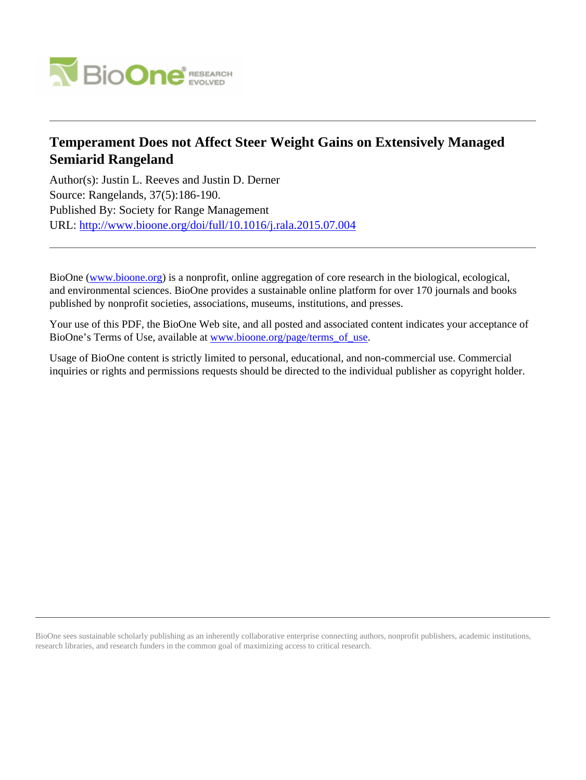

## **Temperament Does not Affect Steer Weight Gains on Extensively Managed Semiarid Rangeland**

Author(s): Justin L. Reeves and Justin D. Derner Source: Rangelands, 37(5):186-190. Published By: Society for Range Management URL: <http://www.bioone.org/doi/full/10.1016/j.rala.2015.07.004>

BioOne [\(www.bioone.org\)](http://www.bioone.org) is a nonprofit, online aggregation of core research in the biological, ecological, and environmental sciences. BioOne provides a sustainable online platform for over 170 journals and books published by nonprofit societies, associations, museums, institutions, and presses.

Your use of this PDF, the BioOne Web site, and all posted and associated content indicates your acceptance of BioOne's Terms of Use, available at [www.bioone.org/page/terms\\_of\\_use.](http://www.bioone.org/page/terms_of_use)

Usage of BioOne content is strictly limited to personal, educational, and non-commercial use. Commercial inquiries or rights and permissions requests should be directed to the individual publisher as copyright holder.

BioOne sees sustainable scholarly publishing as an inherently collaborative enterprise connecting authors, nonprofit publishers, academic institutions, research libraries, and research funders in the common goal of maximizing access to critical research.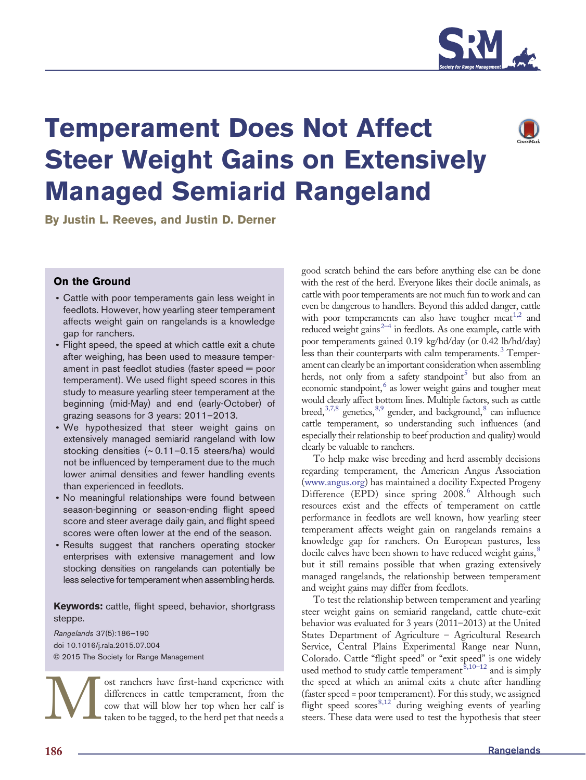

# Temperament Does Not Affect Steer Weight Gains on Extensively Managed Semiarid Rangeland

By Justin L. Reeves, and Justin D. Derner

### On the Ground

- Cattle with poor temperaments gain less weight in feedlots. However, how yearling steer temperament affects weight gain on rangelands is a knowledge gap for ranchers.
- Flight speed, the speed at which cattle exit a chute after weighing, has been used to measure temperament in past feedlot studies (faster speed = poor temperament). We used flight speed scores in this study to measure yearling steer temperament at the beginning (mid-May) and end (early-October) of grazing seasons for 3 years: 2011–2013.
- We hypothesized that steer weight gains on extensively managed semiarid rangeland with low stocking densities (~ 0.11–0.15 steers/ha) would not be influenced by temperament due to the much lower animal densities and fewer handling events than experienced in feedlots.
- No meaningful relationships were found between season-beginning or season-ending flight speed score and steer average daily gain, and flight speed scores were often lower at the end of the season.
- Results suggest that ranchers operating stocker enterprises with extensive management and low stocking densities on rangelands can potentially be less selective for temperament when assembling herds.

Keywords: cattle, flight speed, behavior, shortgrass steppe.

Rangelands 37(5):186—190 doi 10.1016/j.rala.2015.07.004 © 2015 The Society for Range Management

> ost ranchers have first-hand experience with differences in cattle temperament, from the cow that will blow her top when her calf is taken to be tagged, to the herd pet that needs a

good scratch behind the ears before anything else can be done with the rest of the herd. Everyone likes their docile animals, as cattle with poor temperaments are not much fun to work and can even be dangerous to handlers. Beyond this added danger, cattle with poor tempera[men](#page-5-0)[t](#page-5-0)s can also have tougher meat<sup>[1,2](#page-5-0)</sup> and reduced weight gain[s](#page-5-0)<sup> $2-4$ </sup> in feedlots. As one example, cattle with poor temperaments gained 0.19 kg/hd/day (or 0.42 lb/hd/day) less than their counterparts with calm temperaments[.](#page-5-0)<sup>[3](#page-5-0)</sup> Temperament can clearly be an important consideration when assembling herds, no[t](#page-5-0) only from a safety standpoint<sup>[5](#page-5-0)</sup> but also from an economic standpoint[,](#page-5-0)<sup>[6](#page-5-0)</sup> as lower weight gains and tougher meat would clearly affect bottom lines. Multiple factors, such as cattle breed[,](#page-5-0) $3,7,8$  genetics, $8,9$  gender, and background, $8$  can influence cattle temperament, so understanding such influences (and especially their relationship to beef production and quality) would clearly be valuable to ranchers.

To help make wise breeding and herd assembly decisions regarding temperament, the American Angus Association ([www.angus.org\)](http://www.angus.org) has maintained a docility Expected Progeny Difference (EPD) since spring 2008[.](#page-5-0)<sup>[6](#page-5-0)</sup> Although such resources exist and the effects of temperament on cattle performance in feedlots are well known, how yearling steer temperament affects weight gain on rangelands remains a knowledge gap for ranchers. On European pastures, less docile calves have been shown to have reduced weight gains[,](#page-5-0)<sup>[8](#page-5-0)</sup> but it still remains possible that when grazing extensively managed rangelands, the relationship between temperament and weight gains may differ from feedlots.

To test the relationship between temperament and yearling steer weight gains on semiarid rangeland, cattle chute-exit behavior was evaluated for 3 years (2011–2013) at the United States Department of Agriculture – Agricultural Research Service, Central Plains Experimental Range near Nunn, Colorado. Cattle "flight speed" or "exit speed" is one widely used me[t](#page-5-0)hod to study cattle temperament  $\frac{\dot{\mathcal{B}}}{10^{-12}}$  and is simply the speed at which an animal exits a chute after handling (faster speed = poor temperament). For this study, we assigned<br>flight speed scores  $8,12$  during weighing events of yearling Fluit [s](#page-5-0)peed scores in cattle temperament, from the speed at which an animal exits a chute after handling differences in cattle temperament, from the (faster speed = poor temperament). For this study, we assigned cow that w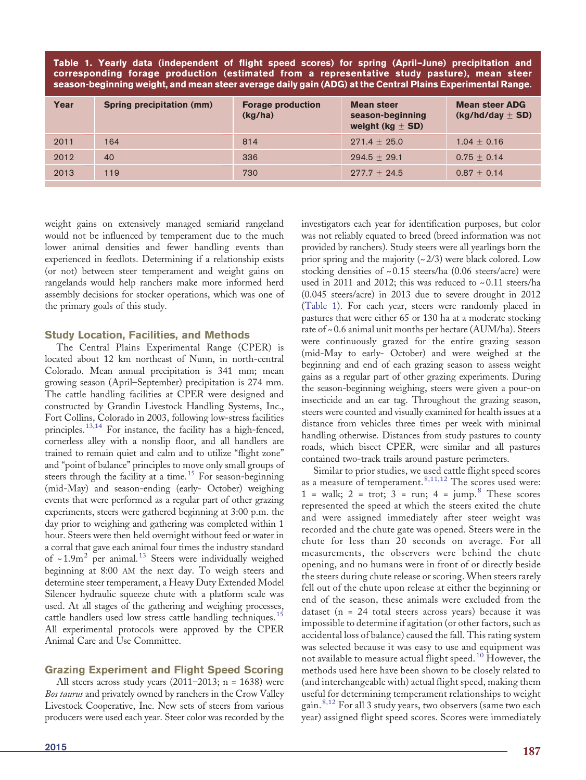<span id="page-2-0"></span>Table 1. Yearly data (independent of flight speed scores) for spring (April–June) precipitation and corresponding forage production (estimated from a representative study pasture), mean steer season-beginning weight, and mean steer average daily gain (ADG) at the Central Plains Experimental Range.

| Year | Spring precipitation (mm) | <b>Forage production</b><br>(kg/ha) | <b>Mean steer</b><br>season-beginning<br>weight (kg $\pm$ SD) | <b>Mean steer ADG</b><br>$(kg/hd/day \pm SD)$ |
|------|---------------------------|-------------------------------------|---------------------------------------------------------------|-----------------------------------------------|
| 2011 | 164                       | 814                                 | $271.4 + 25.0$                                                | $1.04 + 0.16$                                 |
| 2012 | 40                        | 336                                 | $294.5 + 29.1$                                                | $0.75 + 0.14$                                 |
| 2013 | 119                       | 730                                 | $277.7 + 24.5$                                                | $0.87 + 0.14$                                 |

weight gains on extensively managed semiarid rangeland would not be influenced by temperament due to the much lower animal densities and fewer handling events than experienced in feedlots. Determining if a relationship exists (or not) between steer temperament and weight gains on rangelands would help ranchers make more informed herd assembly decisions for stocker operations, which was one of the primary goals of this study.

#### Study Location, Facilities, and Methods

The Central Plains Experimental Range (CPER) is located about 12 km northeast of Nunn, in north-central Colorado. Mean annual precipitation is 341 mm; mean growing season (April–September) precipitation is 274 mm. The cattle handling facilities at CPER were designed and constructed by Grandin Livestock Handling Systems, Inc., Fort Collins, Colorado in 2003, following low-stress facilities principles[.](#page-5-0)<sup>[13,14](#page-5-0)</sup> For instance, the facility has a high-fenced, cornerless alley with a nonslip floor, and all handlers are trained to remain quiet and calm and to utilize "flight zone" and "point of balance" principles to move only small groups of steers through the facility at a time[.](#page-5-0)<sup>[15](#page-5-0)</sup> For season-beginning (mid-May) and season-ending (early- October) weighing events that were performed as a regular part of other grazing experiments, steers were gathered beginning at 3:00 p.m. the day prior to weighing and gathering was completed within 1 hour. Steers were then held overnight without feed or water in a corral that gave each animal four times the industry standard of  $\sim 1.9$ m<sup>2</sup> per animal.<sup>[13](#page-5-0)</sup> Steers were individually weighed beginning at 8:00 AM the next day. To weigh steers and determine steer temperament, a Heavy Duty Extended Model Silencer hydraulic squeeze chute with a platform scale was used. At all stages of the gathering and weighing processes, cattle handlers used low stress cattle handling techniques[.](#page-5-0)<sup>[15](#page-5-0)</sup> All experimental protocols were approved by the CPER Animal Care and Use Committee.

### Grazing Experiment and Flight Speed Scoring

All steers across study years  $(2011-2013; n = 1638)$  were Bos taurus and privately owned by ranchers in the Crow Valley Livestock Cooperative, Inc. New sets of steers from various producers were used each year. Steer color was recorded by the investigators each year for identification purposes, but color was not reliably equated to breed (breed information was not provided by ranchers). Study steers were all yearlings born the prior spring and the majority  $(\sim 2/3)$  were black colored. Low stocking densities of ~ 0.15 steers/ha (0.06 steers/acre) were used in 2011 and 2012; this was reduced to ~ 0.11 steers/ha (0.045 steers/acre) in 2013 due to severe drought in 2012 (Table 1). For each year, steers were randomly placed in pastures that were either 65 or 130 ha at a moderate stocking rate of  $\sim 0.6$  animal unit months per hectare (AUM/ha). Steers were continuously grazed for the entire grazing season (mid-May to early- October) and were weighed at the beginning and end of each grazing season to assess weight gains as a regular part of other grazing experiments. During the season-beginning weighing, steers were given a pour-on insecticide and an ear tag. Throughout the grazing season, steers were counted and visually examined for health issues at a distance from vehicles three times per week with minimal handling otherwise. Distances from study pastures to county roads, which bisect CPER, were similar and all pastures contained two-track trails around pasture perimeters.

Similar to prior studies, we used cattle flight speed scores as a measure of temperament[.](#page-5-0)<sup>[8,11,12](#page-5-0)</sup> The scores used were: 1 = walk; 2 = trot; 3 = run; 4 =  $\mu$ mp[.](#page-5-0) <sup>[8](#page-5-0)</sup> These scores represented the speed at which the steers exited the chute and were assigned immediately after steer weight was recorded and the chute gate was opened. Steers were in the chute for less than 20 seconds on average. For all measurements, the observers were behind the chute opening, and no humans were in front of or directly beside the steers during chute release or scoring. When steers rarely fell out of the chute upon release at either the beginning or end of the season, these animals were excluded from the dataset (n = 24 total steers across years) because it was impossible to determine if agitation (or other factors, such as accidental loss of balance) caused the fall. This rating system was selected because it was easy to use and equipment was not available to measure actual flight speed.[10](#page-5-0) However, the methods used here have been shown to be closely related to (and interchangeable with) actual flight speed, making them useful for determining temperament relationships to weight gain[.](#page-5-0) [8,12](#page-5-0) For all 3 study years, two observers (same two each year) assigned flight speed scores. Scores were immediately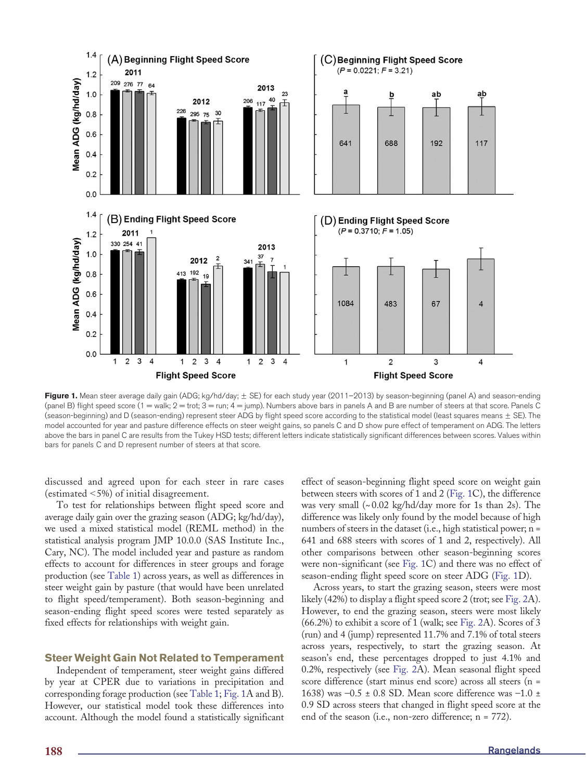<span id="page-3-0"></span>

Figure 1. Mean steer average daily gain (ADG; kg/hd/day;  $\pm$  SE) for each study year (2011–2013) by season-beginning (panel A) and season-ending (panel B) flight speed score  $(1 = \text{walk}; 2 = \text{trot}; 3 = \text{run}; 4 = \text{jump})$ . Numbers above bars in panels A and B are number of steers at that score. Panels C (season-beginning) and D (season-ending) represent steer ADG by flight speed score according to the statistical model (least squares means  $\pm$  SE). The model accounted for year and pasture difference effects on steer weight gains, so panels C and D show pure effect of temperament on ADG. The letters above the bars in panel C are results from the Tukey HSD tests; different letters indicate statistically significant differences between scores. Values within bars for panels C and D represent number of steers at that score.

discussed and agreed upon for each steer in rare cases (estimated  $\leq$ 5%) of initial disagreement.

To test for relationships between flight speed score and average daily gain over the grazing season (ADG; kg/hd/day), we used a mixed statistical model (REML method) in the statistical analysis program JMP 10.0.0 (SAS Institute Inc., Cary, NC). The model included year and pasture as random effects to account for differences in steer groups and forage production (see [Table 1\)](#page-2-0) across years, as well as differences in steer weight gain by pasture (that would have been unrelated to flight speed/temperament). Both season-beginning and season-ending flight speed scores were tested separately as fixed effects for relationships with weight gain.

#### Steer Weight Gain Not Related to Temperament

Independent of temperament, steer weight gains differed by year at CPER due to variations in precipitation and corresponding forage production (see [Table 1;](#page-2-0) Fig. 1A and B). However, our statistical model took these differences into account. Although the model found a statistically significant

effect of season-beginning flight speed score on weight gain between steers with scores of 1 and 2 (Fig. 1C), the difference was very small  $\left(\sim 0.02 \text{ kg/hd/day}$  more for 1s than 2s). The difference was likely only found by the model because of high numbers of steers in the dataset (i.e., high statistical power; n = 641 and 688 steers with scores of 1 and 2, respectively). All other comparisons between other season-beginning scores were non-significant (see Fig. 1C) and there was no effect of season-ending flight speed score on steer ADG (Fig. 1D).

Across years, to start the grazing season, steers were most likely (42%) to display a flight speed score 2 (trot; see [Fig. 2A](#page-4-0)). However, to end the grazing season, steers were most likely (66.2%) to exhibit a score of 1 (walk; see [Fig. 2](#page-4-0)A). Scores of 3 (run) and 4 (jump) represented 11.7% and 7.1% of total steers across years, respectively, to start the grazing season. At season's end, these percentages dropped to just 4.1% and 0.2%, respectively (see [Fig. 2A](#page-4-0)). Mean seasonal flight speed score difference (start minus end score) across all steers (n = 1638) was  $-0.5 \pm 0.8$  SD. Mean score difference was  $-1.0 \pm 1.6$ 0.9 SD across steers that changed in flight speed score at the end of the season (i.e., non-zero difference; n = 772).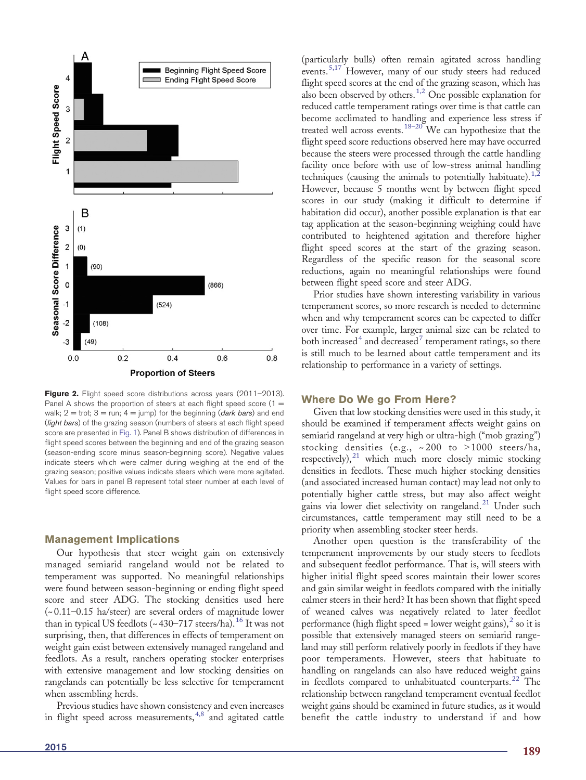<span id="page-4-0"></span>

Figure 2. Flight speed score distributions across years (2011-2013). Panel A shows the proportion of steers at each flight speed score  $(1 =$ walk;  $2 = \text{trot}$ ;  $3 = \text{run}$ ;  $4 = \text{jump}$ ) for the beginning (*dark bars*) and end (light bars) of the grazing season (numbers of steers at each flight speed score are presented in [Fig. 1\)](#page-3-0). Panel B shows distribution of differences in flight speed scores between the beginning and end of the grazing season (season-ending score minus season-beginning score). Negative values indicate steers which were calmer during weighing at the end of the grazing season; positive values indicate steers which were more agitated. Values for bars in panel B represent total steer number at each level of flight speed score difference.

#### Management Implications

Our hypothesis that steer weight gain on extensively managed semiarid rangeland would not be related to temperament was supported. No meaningful relationships were found between season-beginning or ending flight speed score and steer ADG. The stocking densities used here (~ 0.11–0.15 ha/steer) are several orders of magnitude lower than in typical US feedlots ( $\sim$  430–717 steers/ha)[.](#page-5-0)<sup>[16](#page-5-0)</sup> It was not surprising, then, that differences in effects of temperament on weight gain exist between extensively managed rangeland and feedlots. As a result, ranchers operating stocker enterprises with extensive management and low stocking densities on rangelands can potentially be less selective for temperament when assembling herds.

Previous studies have shown consistency and even increases in flight speed across measurements[,](#page-5-0)  $4,8$  and agitated cattle

(particularly bulls) often remain agitated across handling events[.](#page-5-0)[5,17](#page-5-0) However, many of our study steers had reduced flight speed scores at the end of the grazing season, which has also been observed by others[.](#page-5-0)[1,2](#page-5-0) One possible explanation for reduced cattle temperament ratings over time is that cattle can become acclimated to handling and experience less stress if treated well across events[.](#page-5-0)<sup>[18](#page-5-0)–20</sup> We can hypothesize that the flight speed score reductions observed here may have occurred because the steers were processed through the cattle handling facility once before with use of low-stress animal handling techniques (causing the animals to potentially habituate)[.](#page-5-0)<sup>[1,2](#page-5-0)</sup> However, because 5 months went by between flight speed scores in our study (making it difficult to determine if habitation did occur), another possible explanation is that ear tag application at the season-beginning weighing could have contributed to heightened agitation and therefore higher flight speed scores at the start of the grazing season. Regardless of the specific reason for the seasonal score reductions, again no meaningful relationships were found between flight speed score and steer ADG.

Prior studies have shown interesting variability in various temperament scores, so more research is needed to determine when and why temperament scores can be expected to differ over time. For example, larger animal size can be related to both increase[d](#page-5-0)<sup>[4](#page-5-0)</sup> and decreased<sup>[7](#page-5-0)</sup> temperament ratings, so there is still much to be learned about cattle temperament and its relationship to performance in a variety of settings.

#### Where Do We go From Here?

Given that low stocking densities were used in this study, it should be examined if temperament affects weight gains on semiarid rangeland at very high or ultra-high ("mob grazing") stocking densities (e.g.,  $\sim 200$  to  $> 1000$  steers/ha, respectively)[,](#page-5-0) $^{21}$  $^{21}$  $^{21}$  which much more closely mimic stocking densities in feedlots. These much higher stocking densities (and associated increased human contact) may lead not only to potentially higher cattle stress, but may also affect weight gains via lower diet selectivity on rangeland[.](#page-5-0)<sup>[21](#page-5-0)</sup> Under such circumstances, cattle temperament may still need to be a priority when assembling stocker steer herds.

Another open question is the transferability of the temperament improvements by our study steers to feedlots and subsequent feedlot performance. That is, will steers with higher initial flight speed scores maintain their lower scores and gain similar weight in feedlots compared with the initially calmer steers in their herd? It has been shown that flight speed of weaned calves was negatively related to later feedlot performance (high flight speed = lower weight gains)[,](#page-5-0) $\frac{2}{3}$  $\frac{2}{3}$  $\frac{2}{3}$  so it is possible that extensively managed steers on semiarid rangeland may still perform relatively poorly in feedlots if they have poor temperaments. However, steers that habituate to handling on rangelands can also have reduced weight gains in feedlots compared to unhabituated counterparts[.](#page-5-0)<sup>[22](#page-5-0)</sup> The relationship between rangeland temperament eventual feedlot weight gains should be examined in future studies, as it would benefit the cattle industry to understand if and how